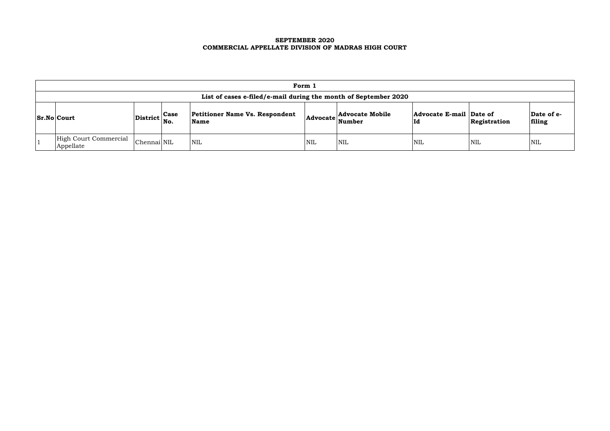### **SEPTEMBER 2020 COMMERCIAL APPELLATE DIVISION OF MADRAS HIGH COURT**

| Form 1                                                          |                                                |                                               |     |                                                           |                               |              |                      |  |  |  |  |
|-----------------------------------------------------------------|------------------------------------------------|-----------------------------------------------|-----|-----------------------------------------------------------|-------------------------------|--------------|----------------------|--|--|--|--|
| List of cases e-filed/e-mail during the month of September 2020 |                                                |                                               |     |                                                           |                               |              |                      |  |  |  |  |
| <b>Sr.No Court</b>                                              | $ \text{District} ^{\text{Case}}_{\text{No.}}$ | <b>Petitioner Name Vs. Respondent</b><br>Name |     | <b>Advocate Mobile</b><br>$ {\bf Advocate}\rangle$ Number | Advocate E-mail Date of<br>Id | Registration | Date of e-<br>filing |  |  |  |  |
| High Court Commercial<br>Appellate                              | Chennai NIL                                    | <b>NIL</b>                                    | NIL | NIL                                                       | <b>NIL</b>                    | 'NIL         | NIL                  |  |  |  |  |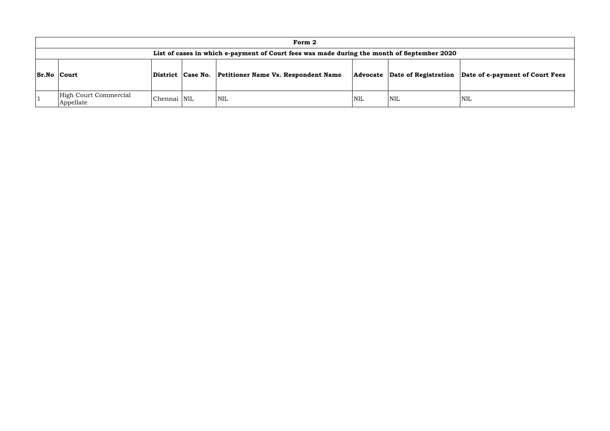|                    |                                                                                            |             |                   | Form 2                                     |            |                      |            |  |  |  |  |  |
|--------------------|--------------------------------------------------------------------------------------------|-------------|-------------------|--------------------------------------------|------------|----------------------|------------|--|--|--|--|--|
|                    | List of cases in which e-payment of Court fees was made during the month of September 2020 |             |                   |                                            |            |                      |            |  |  |  |  |  |
| <b>Sr.No Court</b> |                                                                                            |             | District Case No. | <b>Petitioner Name Vs. Respondent Name</b> | Advocate   | Date of Registration | Dat        |  |  |  |  |  |
|                    | High Court Commercial<br>Appellate                                                         | Chennai NIL |                   | <b>NIL</b>                                 | <b>NIL</b> | <b>NIL</b>           | <b>NIL</b> |  |  |  |  |  |

# **Date of e-payment of Court Fees**

<u> 1980 - Johann Barnett, fransk politiker (</u>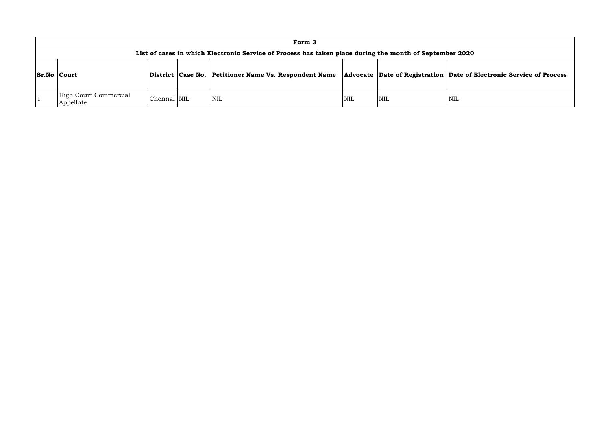|                    |                                                                                                         |             |  | Form 3                                                |            |                                       |     |  |  |  |  |  |
|--------------------|---------------------------------------------------------------------------------------------------------|-------------|--|-------------------------------------------------------|------------|---------------------------------------|-----|--|--|--|--|--|
|                    | List of cases in which Electronic Service of Process has taken place during the month of September 2020 |             |  |                                                       |            |                                       |     |  |  |  |  |  |
| <b>Sr.No Court</b> |                                                                                                         |             |  | District Case No. Petitioner Name Vs. Respondent Name |            | Advocate Date of Registration Date of |     |  |  |  |  |  |
|                    | High Court Commercial<br>Appellate                                                                      | Chennai NIL |  | <b>NIL</b>                                            | <b>NIL</b> | <b>NIL</b>                            | NIL |  |  |  |  |  |

### **Combinding Contains Conservice of Process**

the control of the control of the control of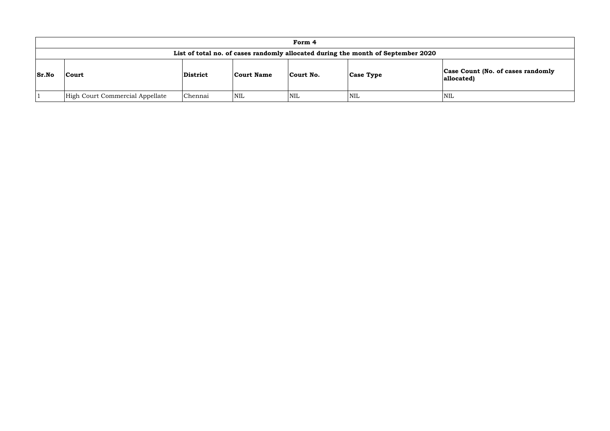## **Count (No. of cases randomly allocated)**

|              |                                                                                  |                 |                   | Form 4     |                  |                              |  |  |  |  |  |  |
|--------------|----------------------------------------------------------------------------------|-----------------|-------------------|------------|------------------|------------------------------|--|--|--|--|--|--|
|              | List of total no. of cases randomly allocated during the month of September 2020 |                 |                   |            |                  |                              |  |  |  |  |  |  |
| <b>Sr.No</b> | Court                                                                            | <b>District</b> | <b>Court Name</b> | Court No.  | <b>Case Type</b> | <b>Case Cou</b><br>allocated |  |  |  |  |  |  |
|              | High Court Commercial Appellate                                                  | Chennai         | <b>NIL</b>        | <b>NIL</b> | <b>NIL</b>       | <b>NIL</b>                   |  |  |  |  |  |  |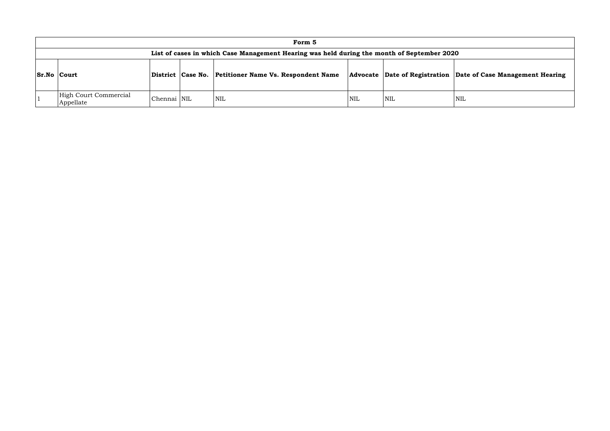|                    |                                                                                            |             |                   | Form 5                                     |            |                                    |            |  |  |  |  |
|--------------------|--------------------------------------------------------------------------------------------|-------------|-------------------|--------------------------------------------|------------|------------------------------------|------------|--|--|--|--|
|                    | List of cases in which Case Management Hearing was held during the month of September 2020 |             |                   |                                            |            |                                    |            |  |  |  |  |
| <b>Sr.No Court</b> |                                                                                            |             | District Case No. | <b>Petitioner Name Vs. Respondent Name</b> |            | Advocate Date of Registration Date |            |  |  |  |  |
|                    | High Court Commercial<br>Appellate                                                         | Chennai NIL |                   | <b>NIL</b>                                 | <b>NIL</b> | <b>NIL</b>                         | <b>NIL</b> |  |  |  |  |

## **Sr.No Court District Case No. Petitioner Name Vs. Respondent Name Advocate Date of Registration Date of Case Management Hearing**

<u> 1980 - Johann Barn, mars ann an t-Amhain Aonaich an t-Aonaich an t-Aonaich ann an t-Aonaich ann an t-Aonaich</u>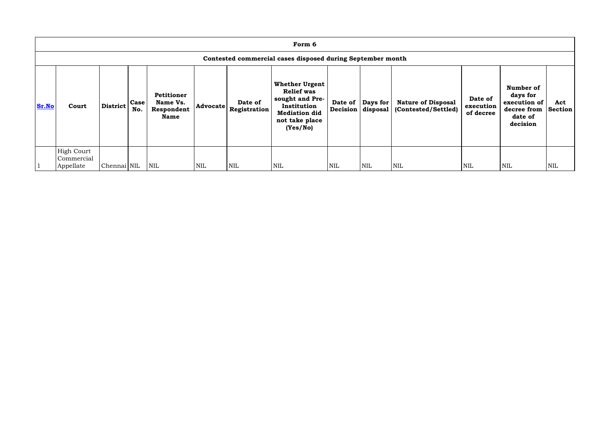|              | Form 6                                                     |                 |             |                                                     |                 |                         |                                                                                                                                    |            |                                               |                                                  |                                   |                                                                             |                       |
|--------------|------------------------------------------------------------|-----------------|-------------|-----------------------------------------------------|-----------------|-------------------------|------------------------------------------------------------------------------------------------------------------------------------|------------|-----------------------------------------------|--------------------------------------------------|-----------------------------------|-----------------------------------------------------------------------------|-----------------------|
|              | Contested commercial cases disposed during September month |                 |             |                                                     |                 |                         |                                                                                                                                    |            |                                               |                                                  |                                   |                                                                             |                       |
| <b>Sr.No</b> | Court                                                      | <b>District</b> | Case<br>No. | Petitioner<br>Name Vs.<br>Respondent<br><b>Name</b> | <b>Advocate</b> | Date of<br>Registration | <b>Whether Urgent</b><br><b>Relief was</b><br>sought and Pre-<br>Institution<br><b>Mediation did</b><br>not take place<br>(Yes/No) |            | Date of $\vert$ Days for<br>Decision disposal | <b>Nature of Disposal</b><br>(Contested/Settled) | Date of<br>execution<br>of decree | Number of<br>days for<br>execution of<br>decree from<br>date of<br>decision | Act<br><b>Section</b> |
|              | <b>High Court</b><br>Commercial<br>Appellate               | Chennai NIL     |             | <b>NIL</b>                                          | <b>NIL</b>      | NIL                     | <b>NIL</b>                                                                                                                         | <b>NIL</b> | <b>NIL</b>                                    | <b>NIL</b>                                       | <b>NIL</b>                        | NIL                                                                         | <b>NIL</b>            |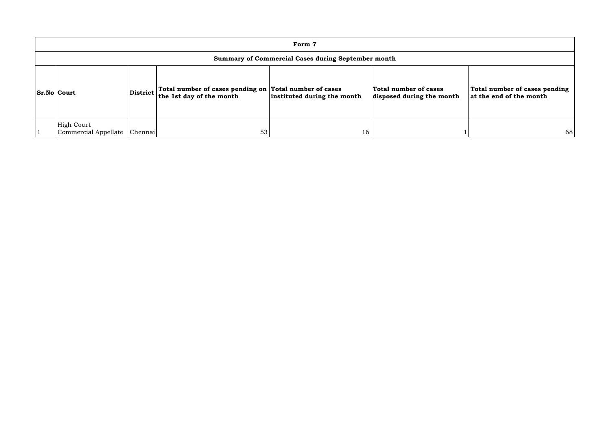| Form 7                                                    |          |                                                                                        |                             |                                                    |                                                          |  |  |  |  |  |
|-----------------------------------------------------------|----------|----------------------------------------------------------------------------------------|-----------------------------|----------------------------------------------------|----------------------------------------------------------|--|--|--|--|--|
| <b>Summary of Commercial Cases during September month</b> |          |                                                                                        |                             |                                                    |                                                          |  |  |  |  |  |
| <b>Sr.No Court</b>                                        | District | Total number of cases pending on $ $ Total number of cases<br>the 1st day of the month | instituted during the month | Total number of cases<br>disposed during the month | Total number of cases pending<br>at the end of the month |  |  |  |  |  |
| <b>High Court</b><br>Commercial Appellate   Chennai       |          | 53                                                                                     | 16                          |                                                    | 68                                                       |  |  |  |  |  |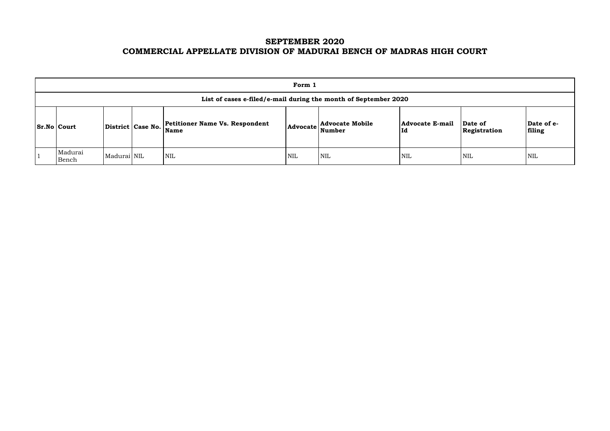# **SEPTEMBER 2020 COMMERCIAL APPELLATE DIVISION OF MADURAI BENCH OF MADRAS HIGH COURT**

| Form 1                                                          |             |                   |                                               |                 |                                  |                              |                         |                      |  |  |  |  |
|-----------------------------------------------------------------|-------------|-------------------|-----------------------------------------------|-----------------|----------------------------------|------------------------------|-------------------------|----------------------|--|--|--|--|
| List of cases e-filed/e-mail during the month of September 2020 |             |                   |                                               |                 |                                  |                              |                         |                      |  |  |  |  |
| <b>Sr.No Court</b>                                              |             | District Case No. | <b>Petitioner Name Vs. Respondent</b><br>Name | <b>Advocate</b> | <b>Advocate Mobile</b><br>Number | <b>Advocate E-mail</b><br>Id | Date of<br>Registration | Date of e-<br>filing |  |  |  |  |
| Madurai<br>Bench                                                | Madurai NIL |                   | <b>NIL</b>                                    | <b>NIL</b>      | <b>NIL</b>                       | <b>NIL</b>                   | <b>NIL</b>              | <b>NIL</b>           |  |  |  |  |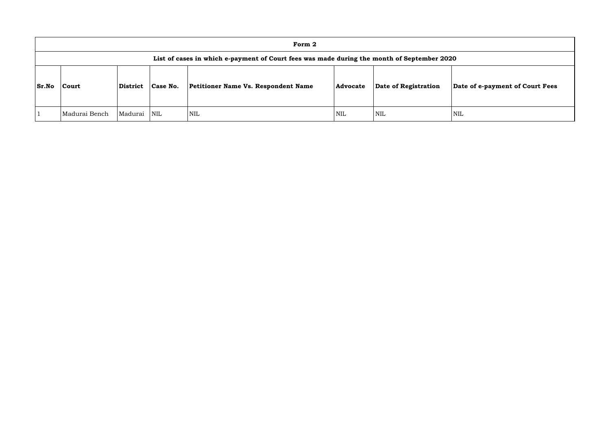|       |                                                                                            |          |                         | Form 2                              |            |                      |            |  |  |  |  |  |  |
|-------|--------------------------------------------------------------------------------------------|----------|-------------------------|-------------------------------------|------------|----------------------|------------|--|--|--|--|--|--|
|       | List of cases in which e-payment of Court fees was made during the month of September 2020 |          |                         |                                     |            |                      |            |  |  |  |  |  |  |
| Sr.No | Court                                                                                      | District | Case No.                | Petitioner Name Vs. Respondent Name | Advocate   | Date of Registration | Dat        |  |  |  |  |  |  |
|       | Madurai Bench                                                                              | Madurai  | $\overline{\text{NIL}}$ | <b>NIL</b>                          | <b>NIL</b> | <b>NIL</b>           | <b>NIL</b> |  |  |  |  |  |  |

# **Sr.No Court District Case No. Petitioner Name Vs. Respondent Name Advocate Date of Registration Date of e-payment of Court Fees**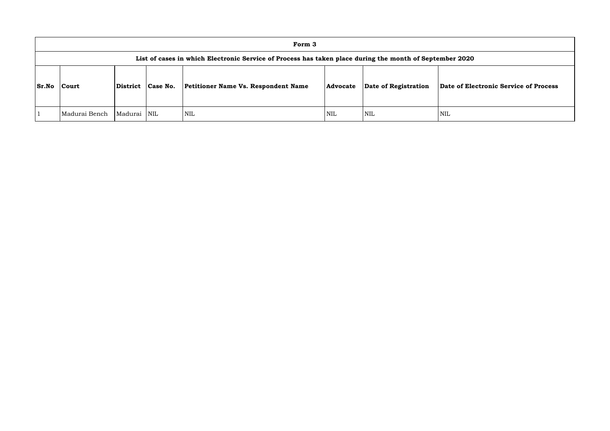|              |                                                                                                         |                 |            | Form 3                                     |                 |                      |             |  |  |  |  |  |
|--------------|---------------------------------------------------------------------------------------------------------|-----------------|------------|--------------------------------------------|-----------------|----------------------|-------------|--|--|--|--|--|
|              | List of cases in which Electronic Service of Process has taken place during the month of September 2020 |                 |            |                                            |                 |                      |             |  |  |  |  |  |
| <b>Sr.No</b> | Court                                                                                                   | <b>District</b> | Case No.   | <b>Petitioner Name Vs. Respondent Name</b> | <b>Advocate</b> | Date of Registration | Date of Ele |  |  |  |  |  |
|              | Madurai Bench                                                                                           | Madurai         | <b>NIL</b> | NIL                                        | <b>NIL</b>      | <b>NIL</b>           | <b>NIL</b>  |  |  |  |  |  |

**Sr.No Court District Case No. Petitioner Name Vs. Respondent Name Advocate Date of Registration Date of Electronic Service of Process**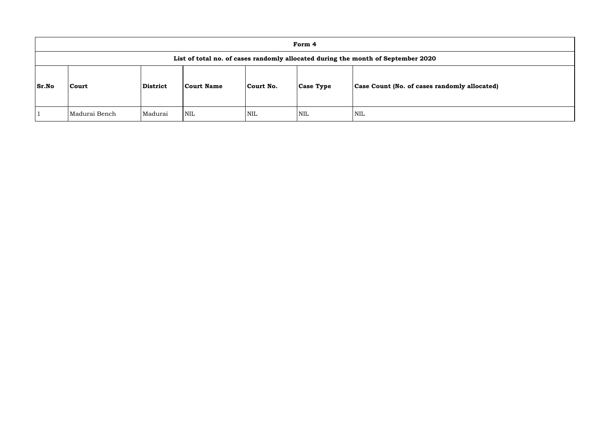|              |                                                                                  |          |                   |            | Form 4           |                                                     |  |  |  |  |  |  |
|--------------|----------------------------------------------------------------------------------|----------|-------------------|------------|------------------|-----------------------------------------------------|--|--|--|--|--|--|
|              | List of total no. of cases randomly allocated during the month of September 2020 |          |                   |            |                  |                                                     |  |  |  |  |  |  |
| <b>Sr.No</b> | Court                                                                            | District | <b>Court Name</b> | Court No.  | <b>Case Type</b> | <b>Case Count (No. of cases randomly allocated)</b> |  |  |  |  |  |  |
|              | Madurai Bench                                                                    | Madurai  | <b>NIL</b>        | <b>NIL</b> | <b>NIL</b>       | <b>NIL</b>                                          |  |  |  |  |  |  |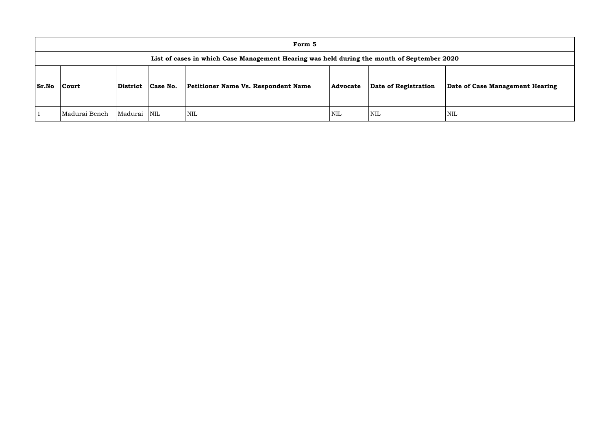|              |                                                                                            |          |                         | Form 5                              |                 |                      |             |  |  |  |  |  |  |
|--------------|--------------------------------------------------------------------------------------------|----------|-------------------------|-------------------------------------|-----------------|----------------------|-------------|--|--|--|--|--|--|
|              | List of cases in which Case Management Hearing was held during the month of September 2020 |          |                         |                                     |                 |                      |             |  |  |  |  |  |  |
| <b>Sr.No</b> | Court                                                                                      | District | Case No.                | Petitioner Name Vs. Respondent Name | <b>Advocate</b> | Date of Registration | <b>Date</b> |  |  |  |  |  |  |
|              | Madurai Bench                                                                              | Madurai  | $\overline{\text{NIL}}$ | <b>NIL</b>                          | <b>NIL</b>      | <b>NIL</b>           | NIL         |  |  |  |  |  |  |

**of Case Management Hearing**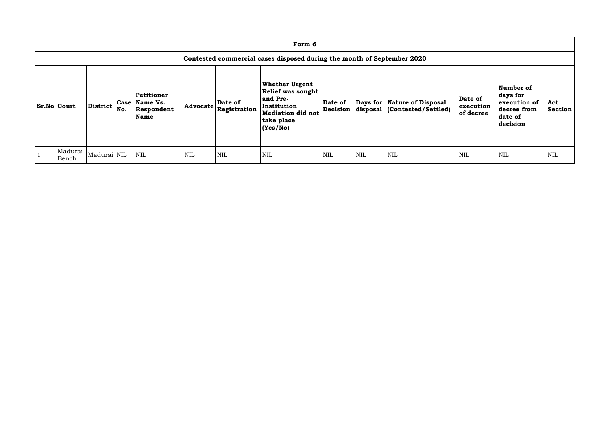| Form 6                                                                 |                 |     |                                                     |                 |                         |                                                                                                                              |                     |            |                                                               |                                   |                                                                             |                |
|------------------------------------------------------------------------|-----------------|-----|-----------------------------------------------------|-----------------|-------------------------|------------------------------------------------------------------------------------------------------------------------------|---------------------|------------|---------------------------------------------------------------|-----------------------------------|-----------------------------------------------------------------------------|----------------|
| Contested commercial cases disposed during the month of September 2020 |                 |     |                                                     |                 |                         |                                                                                                                              |                     |            |                                                               |                                   |                                                                             |                |
| <b>Sr.No Court</b>                                                     | <b>District</b> | No. | Petitioner<br>Case   Name Vs.<br>Respondent<br>Name | <b>Advocate</b> | Date of<br>Registration | <b>Whether Urgent</b><br><b>Relief was sought</b><br>and Pre-<br>Institution<br>Mediation did not<br>take place<br> (Yes/No) | Date of<br>Decision |            | Days for   Nature of Disposal<br>disposal (Contested/Settled) | Date of<br>execution<br>of decree | Number of<br>days for<br>execution of<br>decree from<br>date of<br>decision | Act<br>Section |
| Madurai<br>Bench                                                       | Madurai NIL     |     | <b>NIL</b>                                          | <b>NIL</b>      | <b>NIL</b>              | <b>NIL</b>                                                                                                                   | <b>NIL</b>          | <b>NIL</b> | <b>NIL</b>                                                    | NIL                               | <b>NIL</b>                                                                  | <b>NIL</b>     |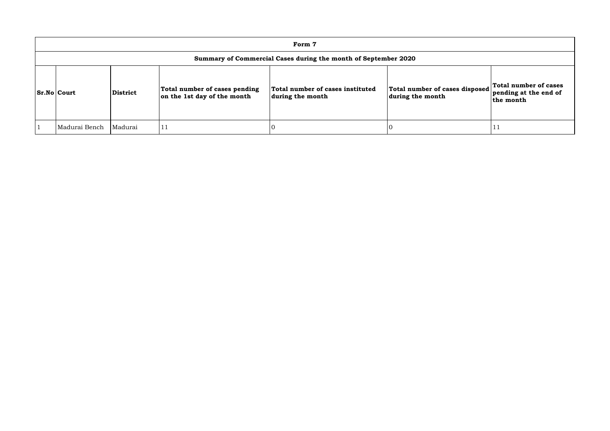| Form 7                                                         |          |                                                              |                                                      |                                                    |                                                             |  |  |  |  |  |
|----------------------------------------------------------------|----------|--------------------------------------------------------------|------------------------------------------------------|----------------------------------------------------|-------------------------------------------------------------|--|--|--|--|--|
| Summary of Commercial Cases during the month of September 2020 |          |                                                              |                                                      |                                                    |                                                             |  |  |  |  |  |
| <b>Sr.No Court</b>                                             | District | Total number of cases pending<br>on the 1st day of the month | Total number of cases instituted<br>during the month | Total number of cases disposed<br>during the month | Total number of cases<br>pending at the end of<br>the month |  |  |  |  |  |
| Madurai Bench                                                  | Madurai  |                                                              |                                                      |                                                    |                                                             |  |  |  |  |  |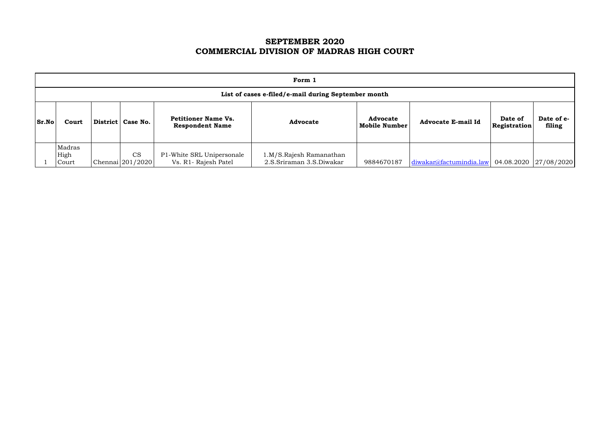# **SEPTEMBER 2020 COMMERCIAL DIVISION OF MADRAS HIGH COURT**

|                                                                                                                                                             | Form 1                                              |  |                        |                                                   |                                                     |            |                           |                         |                       |  |  |  |
|-------------------------------------------------------------------------------------------------------------------------------------------------------------|-----------------------------------------------------|--|------------------------|---------------------------------------------------|-----------------------------------------------------|------------|---------------------------|-------------------------|-----------------------|--|--|--|
|                                                                                                                                                             | List of cases e-filed/e-mail during September month |  |                        |                                                   |                                                     |            |                           |                         |                       |  |  |  |
| <b>Petitioner Name Vs.</b><br><b>Advocate</b><br>Sr.No<br>District   Case No.<br><b>Advocate</b><br>Court<br><b>Mobile Number</b><br><b>Respondent Name</b> |                                                     |  |                        |                                                   |                                                     |            | <b>Advocate E-mail Id</b> | Date of<br>Registration | Date of e-<br>filing  |  |  |  |
|                                                                                                                                                             | Madras<br>High<br>Court                             |  | CS<br>Chennai 201/2020 | P1-White SRL Unipersonale<br>Vs. R1- Rajesh Patel | 1.M/S.Rajesh Ramanathan<br>2.S.Sriraman 3.S.Diwakar | 9884670187 | diwakar@factumindia.law   |                         | 04.08.2020 27/08/2020 |  |  |  |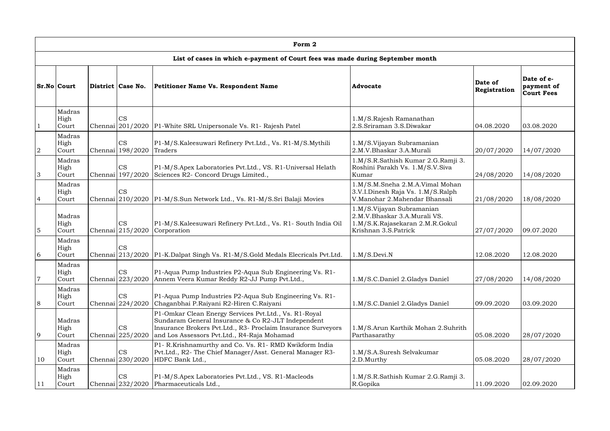|                | Form 2                  |  |                                                 |                                                                                                                                                                                                                            |                                                                                                                      |                         |                                               |  |  |  |  |
|----------------|-------------------------|--|-------------------------------------------------|----------------------------------------------------------------------------------------------------------------------------------------------------------------------------------------------------------------------------|----------------------------------------------------------------------------------------------------------------------|-------------------------|-----------------------------------------------|--|--|--|--|
|                |                         |  |                                                 | List of cases in which e-payment of Court fees was made during September month                                                                                                                                             |                                                                                                                      |                         |                                               |  |  |  |  |
|                | <b>Sr.No Court</b>      |  | District Case No.                               | Petitioner Name Vs. Respondent Name                                                                                                                                                                                        | <b>Advocate</b>                                                                                                      | Date of<br>Registration | Date of e-<br>payment of<br><b>Court Fees</b> |  |  |  |  |
|                | Madras<br>High<br>Court |  | <b>CS</b>                                       | Chennai 201/2020   P1-White SRL Unipersonale Vs. R1- Rajesh Patel                                                                                                                                                          | 1.M/S.Rajesh Ramanathan<br>2.S.Sriraman 3.S.Diwakar                                                                  | 04.08.2020              | 03.08.2020                                    |  |  |  |  |
| $\overline{2}$ | Madras<br>High<br>Court |  | <b>CS</b><br>Chennai 198/2020                   | P1-M/S.Kaleesuwari Refinery Pvt.Ltd., Vs. R1-M/S.Mythili<br>Traders                                                                                                                                                        | 1.M/S.Vijayan Subramanian<br>2.M.V.Bhaskar 3.A.Murali                                                                | 20/07/2020              | 14/07/2020                                    |  |  |  |  |
| 3              | Madras<br>High<br>Court |  | <b>CS</b><br>Chennai 197/2020                   | P1-M/S.Apex Laboratories Pvt.Ltd., VS. R1-Universal Helath<br>Sciences R2- Concord Drugs Limited.,                                                                                                                         | 1.M/S.R.Sathish Kumar 2.G.Ramji 3.<br>Roshini Parakh Vs. 1.M/S.V.Siva<br>Kumar                                       | 24/08/2020              | 14/08/2020                                    |  |  |  |  |
| $\overline{4}$ | Madras<br>High<br>Court |  | <b>CS</b>                                       | Chennai 210/2020 P1-M/S.Sun Network Ltd., Vs. R1-M/S.Sri Balaji Movies                                                                                                                                                     | 1.M/S.M.Sneha 2.M.A.Vimal Mohan<br>3.V.I.Dinesh Raja Vs. 1.M/S.Ralph<br>V.Manohar 2.Mahendar Bhansali                | 21/08/2020              | 18/08/2020                                    |  |  |  |  |
| 5              | Madras<br>High<br>Court |  | CS<br>Chennai $\left  \frac{215}{2020} \right $ | P1-M/S.Kaleesuwari Refinery Pvt.Ltd., Vs. R1- South India Oil<br>Corporation                                                                                                                                               | 1.M/S.Vijayan Subramanian<br>2.M.V.Bhaskar 3.A.Murali VS.<br>1.M/S.K.Rajasekaran 2.M.R.Gokul<br>Krishnan 3.S.Patrick | 27/07/2020              | 09.07.2020                                    |  |  |  |  |
| 6              | Madras<br>High<br>Court |  | <b>CS</b>                                       | Chennai 213/2020   P1-K.Dalpat Singh Vs. R1-M/S.Gold Medals Elecricals Pvt.Ltd.                                                                                                                                            | 1.M/S. Devi.N                                                                                                        | 12.08.2020              | 12.08.2020                                    |  |  |  |  |
| $\overline{7}$ | Madras<br>High<br>Court |  | <b>CS</b><br>Chennai 223/2020                   | P1-Aqua Pump Industries P2-Aqua Sub Engineering Vs. R1-<br>Annem Veera Kumar Reddy R2-JJ Pump Pvt.Ltd.,                                                                                                                    | 1.M/S.C.Daniel 2.Gladys Daniel                                                                                       | 27/08/2020              | 14/08/2020                                    |  |  |  |  |
| 8              | Madras<br>High<br>Court |  | <b>CS</b><br>Chennai 224/2020                   | P1-Aqua Pump Industries P2-Aqua Sub Engineering Vs. R1-<br>Chaganbhai P.Raiyani R2-Hiren C.Raiyani                                                                                                                         | 1.M/S.C.Daniel 2.Gladys Daniel                                                                                       | 09.09.2020              | 03.09.2020                                    |  |  |  |  |
| $\overline{9}$ | Madras<br>High<br>Court |  | <b>CS</b><br>Chennai 225/2020                   | P1-Omkar Clean Energy Services Pvt.Ltd., Vs. R1-Royal<br>Sundaram General Insurance & Co R2-JLT Independent<br>Insurance Brokers Pvt.Ltd., R3- Proclaim Insurance Surveyors<br>and Los Assessors Pvt.Ltd., R4-Raja Mohamad | 1.M/S.Arun Karthik Mohan 2.Suhrith<br>Parthasarathy                                                                  | 05.08.2020              | 28/07/2020                                    |  |  |  |  |
| 10             | Madras<br>High<br>Court |  | <b>CS</b><br>Chennai 230/2020                   | P1- R.Krishnamurthy and Co. Vs. R1- RMD Kwikform India<br>Pvt.Ltd., R2- The Chief Manager/Asst. General Manager R3-<br>HDFC Bank Ltd.,                                                                                     | 1.M/S.A.Suresh Selvakumar<br>2.D.Murthy                                                                              | 05.08.2020              | 28/07/2020                                    |  |  |  |  |
| 11             | Madras<br>High<br>Court |  | CS<br>Chennai 232/2020                          | P1-M/S.Apex Laboratories Pvt.Ltd., VS. R1-Macleods<br>Pharmaceuticals Ltd.,                                                                                                                                                | 1.M/S.R.Sathish Kumar 2.G.Ramji 3.<br>R.Gopika                                                                       | 11.09.2020              | 02.09.2020                                    |  |  |  |  |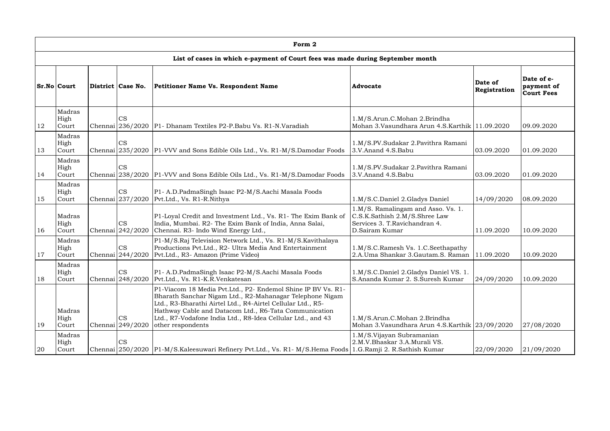|               | Form 2                                                                         |  |                                                        |                                                                                                                                                                                                                                                                                                                                      |                                                                                                                         |                         |                                               |  |  |  |  |  |
|---------------|--------------------------------------------------------------------------------|--|--------------------------------------------------------|--------------------------------------------------------------------------------------------------------------------------------------------------------------------------------------------------------------------------------------------------------------------------------------------------------------------------------------|-------------------------------------------------------------------------------------------------------------------------|-------------------------|-----------------------------------------------|--|--|--|--|--|
|               | List of cases in which e-payment of Court fees was made during September month |  |                                                        |                                                                                                                                                                                                                                                                                                                                      |                                                                                                                         |                         |                                               |  |  |  |  |  |
|               | <b>Sr.No Court</b><br>District Case No.                                        |  |                                                        | Petitioner Name Vs. Respondent Name                                                                                                                                                                                                                                                                                                  | <b>Advocate</b>                                                                                                         | Date of<br>Registration | Date of e-<br>payment of<br><b>Court Fees</b> |  |  |  |  |  |
| 12            | Madras<br>High<br>Court                                                        |  | <b>CS</b>                                              | Chennai 236/2020   P1 - Dhanam Textiles P2-P. Babu Vs. R1-N. Varadiah                                                                                                                                                                                                                                                                | 1.M/S.Arun.C.Mohan 2.Brindha<br>Mohan 3. Vasundhara Arun 4. S. Karthik   11.09.2020                                     |                         | 09.09.2020                                    |  |  |  |  |  |
| <sup>13</sup> | Madras<br>High<br>Court                                                        |  | <b>CS</b>                                              | Chennai 235/2020   P1-VVV and Sons Edible Oils Ltd., Vs. R1-M/S.Damodar Foods                                                                                                                                                                                                                                                        | 1.M/S.PV.Sudakar 2.Pavithra Ramani<br>3.V.Anand 4.S.Babu                                                                | 03.09.2020              | 01.09.2020                                    |  |  |  |  |  |
| 14            | Madras<br>High<br>Court                                                        |  | <b>CS</b>                                              | Chennai 238/2020   P1-VVV and Sons Edible Oils Ltd., Vs. R1-M/S.Damodar Foods                                                                                                                                                                                                                                                        | 1.M/S.PV.Sudakar 2.Pavithra Ramani<br>3.V.Anand 4.S.Babu                                                                | 03.09.2020              | 01.09.2020                                    |  |  |  |  |  |
| <sup>15</sup> | Madras<br>High<br>Court                                                        |  | <b>CS</b>                                              | P1- A.D.PadmaSingh Isaac P2-M/S.Aachi Masala Foods<br>Chennai 237/2020 Pvt.Ltd., Vs. R1-R.Nithya                                                                                                                                                                                                                                     | 1.M/S.C.Daniel 2.Gladys Daniel                                                                                          | 14/09/2020              | 08.09.2020                                    |  |  |  |  |  |
| <sup>16</sup> | Madras<br>High<br>Court                                                        |  | <b>CS</b><br>Chennai 242/2020                          | P1-Loyal Credit and Investment Ltd., Vs. R1- The Exim Bank of<br>India, Mumbai. R2- The Exim Bank of India, Anna Salai,<br>Chennai. R3- Indo Wind Energy Ltd.,                                                                                                                                                                       | 1.M/S. Ramalingam and Asso. Vs. 1.<br>C.S.K.Sathish 2.M/S.Shree Law<br>Services 3. T. Ravichandran 4.<br>D.Sairam Kumar | 11.09.2020              | 10.09.2020                                    |  |  |  |  |  |
| <sup>17</sup> | Madras<br>High<br>Court                                                        |  | <b>CS</b><br>Chennai $\left  \frac{244}{2020} \right $ | P1-M/S.Raj Television Network Ltd., Vs. R1-M/S.Kavithalaya<br>Productions Pvt.Ltd., R2- Ultra Media And Entertainment<br>Pvt.Ltd., R3- Amazon (Prime Video)                                                                                                                                                                          | 1.M/S.C.Ramesh Vs. 1.C.Seethapathy<br>2.A.Uma Shankar 3.Gautam.S. Raman                                                 | 11.09.2020              | 10.09.2020                                    |  |  |  |  |  |
| 18            | Madras<br>High<br>Court                                                        |  | <b>CS</b><br>Chennai $\left  \frac{248}{2020} \right $ | P1- A.D.PadmaSingh Isaac P2-M/S.Aachi Masala Foods<br>Pvt.Ltd., Vs. R1-K.R.Venkatesan                                                                                                                                                                                                                                                | 1.M/S.C.Daniel 2.Gladys Daniel VS. 1.<br>S.Ananda Kumar 2, S.Suresh Kumar                                               | 24/09/2020              | 10.09.2020                                    |  |  |  |  |  |
| 19            | Madras<br>High<br>Court                                                        |  | <b>CS</b><br>Chennai 249/2020                          | P1-Viacom 18 Media Pvt.Ltd., P2- Endemol Shine IP BV Vs. R1-<br>Bharath Sanchar Nigam Ltd., R2-Mahanagar Telephone Nigam<br>Ltd., R3-Bharathi Airtel Ltd., R4-Airtel Cellular Ltd., R5-<br>Hathway Cable and Datacom Ltd., R6-Tata Communication<br>Ltd., R7-Vodafone India Ltd., R8-Idea Cellular Ltd., and 43<br>other respondents | 1.M/S.Arun.C.Mohan 2.Brindha<br>Mohan 3. Vasundhara Arun 4. S. Karthik 23/09/2020                                       |                         | 27/08/2020                                    |  |  |  |  |  |
| <b>20</b>     | Madras<br>High<br>Court                                                        |  | <b>CS</b>                                              | Chennai 250/2020   P1-M/S. Kaleesuwari Refinery Pvt. Ltd., Vs. R1-M/S. Hema Foods   1.G. Ramji 2. R. Sathish Kumar                                                                                                                                                                                                                   | 1.M/S.Vijayan Subramanian<br>2.M.V.Bhaskar 3.A.Murali VS.                                                               | 22/09/2020              | 21/09/2020                                    |  |  |  |  |  |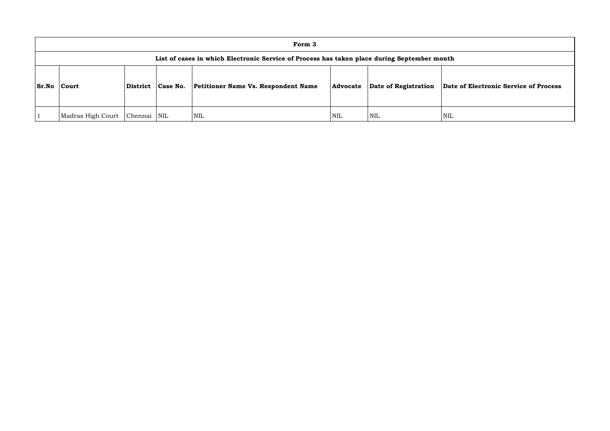|              | Form 3                                                                                      |          |                         |                                            |            |                      |            |  |  |  |  |  |  |
|--------------|---------------------------------------------------------------------------------------------|----------|-------------------------|--------------------------------------------|------------|----------------------|------------|--|--|--|--|--|--|
|              | List of cases in which Electronic Service of Process has taken place during September month |          |                         |                                            |            |                      |            |  |  |  |  |  |  |
| <b>Sr.No</b> | <b>Court</b>                                                                                | District | Case No.                | <b>Petitioner Name Vs. Respondent Name</b> | Advocate   | Date of Registration | Date o     |  |  |  |  |  |  |
|              | Madras High Court                                                                           | Chennai  | $\overline{\text{NIL}}$ | <b>NIL</b>                                 | <b>NIL</b> | <b>NIL</b>           | <b>NIL</b> |  |  |  |  |  |  |

**Sr.No Court District Case No. Petitioner Name Vs. Respondent Name Advocate Date of Registration Date of Electronic Service of Process**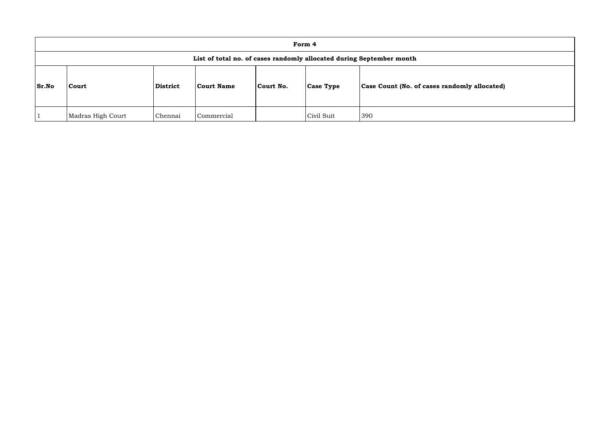|       | Form 4                                                               |                                      |            |           |                  |                                              |  |  |  |  |  |
|-------|----------------------------------------------------------------------|--------------------------------------|------------|-----------|------------------|----------------------------------------------|--|--|--|--|--|
|       | List of total no. of cases randomly allocated during September month |                                      |            |           |                  |                                              |  |  |  |  |  |
| Sr.No | <b>Court</b>                                                         | <b>District</b><br><b>Court Name</b> |            | Court No. | <b>Case Type</b> | Case Count (No. of cases randomly allocated) |  |  |  |  |  |
|       | Madras High Court                                                    | Chennai                              | Commercial |           | Civil Suit       | 390                                          |  |  |  |  |  |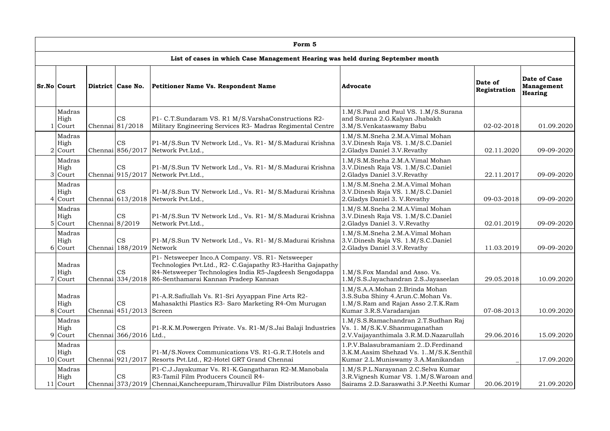| Form 5                      |                                                                               |                                          |                                                                                                                                                                                                                                        |                                                                                                                                      |            |                                                     |  |  |  |
|-----------------------------|-------------------------------------------------------------------------------|------------------------------------------|----------------------------------------------------------------------------------------------------------------------------------------------------------------------------------------------------------------------------------------|--------------------------------------------------------------------------------------------------------------------------------------|------------|-----------------------------------------------------|--|--|--|
|                             |                                                                               |                                          | List of cases in which Case Management Hearing was held during September month                                                                                                                                                         |                                                                                                                                      |            |                                                     |  |  |  |
| <b>Sr.No Court</b>          | District   Case No.<br>Petitioner Name Vs. Respondent Name<br><b>Advocate</b> |                                          |                                                                                                                                                                                                                                        |                                                                                                                                      |            | Date of Case<br><b>Management</b><br><b>Hearing</b> |  |  |  |
| Madras<br>High<br>Court     |                                                                               | <b>CS</b><br>Chennai 81/2018             | P1- C.T.Sundaram VS. R1 M/S.VarshaConstructions R2-<br>Military Engineering Services R3- Madras Regimental Centre                                                                                                                      | 1.M/S.Paul and Paul VS. 1.M/S.Surana<br>and Surana 2.G.Kalyan Jhabakh<br>3.M/S.Venkataswamy Babu                                     | 02-02-2018 | 01.09.2020                                          |  |  |  |
| Madras<br>High<br>$2$ Court |                                                                               | <b>CS</b>                                | P1-M/S.Sun TV Network Ltd., Vs. R1- M/S.Madurai Krishna<br>Chennai 856/2017 Network Pvt. Ltd.,                                                                                                                                         | 1.M/S.M.Sneha 2.M.A.Vimal Mohan<br>3.V.Dinesh Raja VS. 1.M/S.C.Daniel<br>2. Gladys Daniel 3.V. Revathy                               | 02.11.2020 | 09-09-2020                                          |  |  |  |
| Madras<br>High<br>3 Court   |                                                                               | CS                                       | P1-M/S.Sun TV Network Ltd., Vs. R1- M/S.Madurai Krishna<br>Chennai 915/2017 Network Pvt. Ltd.,                                                                                                                                         | 1.M/S.M.Sneha 2.M.A.Vimal Mohan<br>3.V.Dinesh Raja VS. 1.M/S.C.Daniel<br>2. Gladys Daniel 3.V. Revathy                               | 22.11.2017 | 09-09-2020                                          |  |  |  |
| Madras<br>High<br>$4$ Court |                                                                               | <b>CS</b>                                | P1-M/S.Sun TV Network Ltd., Vs. R1- M/S.Madurai Krishna<br>Chennai 613/2018 Network Pvt.Ltd.,                                                                                                                                          | 1.M/S.M.Sneha 2.M.A.Vimal Mohan<br>3.V.Dinesh Raja VS. 1.M/S.C.Daniel<br>2. Gladys Daniel 3. V. Revathy                              | 09-03-2018 | 09-09-2020                                          |  |  |  |
| Madras<br>High<br>$5$ Court | Chennai $8/2019$                                                              | <b>CS</b>                                | P1-M/S.Sun TV Network Ltd., Vs. R1- M/S.Madurai Krishna<br>Network Pvt.Ltd.,                                                                                                                                                           | 1.M/S.M.Sneha 2.M.A.Vimal Mohan<br>3.V.Dinesh Raja VS. 1.M/S.C.Daniel<br>2. Gladys Daniel 3. V. Revathy                              | 02.01.2019 | 09-09-2020                                          |  |  |  |
| Madras<br>High<br>6 Court   |                                                                               | <b>CS</b><br>Chennai 188/2019 Network    | P1-M/S.Sun TV Network Ltd., Vs. R1- M/S.Madurai Krishna                                                                                                                                                                                | 1.M/S.M.Sneha 2.M.A.Vimal Mohan<br>3.V.Dinesh Raja VS. 1.M/S.C.Daniel<br>2. Gladys Daniel 3.V. Revathy                               | 11.03.2019 | 09-09-2020                                          |  |  |  |
| Madras<br>High<br>$7$ Court |                                                                               | <b>CS</b>                                | P1- Netsweeper Inco.A Company. VS. R1- Netsweeper<br>Technologies Pvt.Ltd., R2- C.Gajapathy R3-Haritha Gajapathy<br>R4-Netsweeper Technologies India R5-Jagdeesh Sengodappa<br>Chennai 334/2018   R6-Senthamarai Kannan Pradeep Kannan | 1.M/S.Fox Mandal and Asso. Vs.<br>1.M/S.S.Jayachandran 2.S.Jayaseelan                                                                | 29.05.2018 | 10.09.2020                                          |  |  |  |
| Madras<br>High<br>8 Court   |                                                                               | <b>CS</b><br>Chennai $ 451/2013 $ Screen | P1-A.R.Safiullah Vs. R1-Sri Ayyappan Fine Arts R2-<br>Mahasakthi Plastics R3- Saro Marketing R4-Om Murugan                                                                                                                             | 1.M/S.A.A.Mohan 2.Brinda Mohan<br>3.S.Suba Shiny 4.Arun.C.Mohan Vs.<br>1.M/S.Ram and Rajan Asso 2.T.K.Ram<br>Kumar 3.R.S.Varadarajan | 07-08-2013 | 10.09.2020                                          |  |  |  |
| Madras<br>High<br>$9$ Court |                                                                               | <b>CS</b><br>Chennai 366/2016 Ltd.,      | P1-R.K.M.Powergen Private. Vs. R1-M/S.Jai Balaji Industries                                                                                                                                                                            | 1.M/S.S.Ramachandran 2.T.Sudhan Raj<br>Vs. 1. M/S.K.V.Shanmuganathan<br>2.V.Vaijayanthimala 3.R.M.D.Nazarullah                       | 29.06.2016 | 15.09.2020                                          |  |  |  |
| Madras<br>High<br>10 Court  |                                                                               | <b>CS</b><br>Chennai 921/2017            | P1-M/S.Novex Communications VS. R1-G.R.T.Hotels and<br>Resorts Pvt.Ltd., R2-Hotel GRT Grand Chennai                                                                                                                                    | 1.P.V.Balasubramaniam 2D.Ferdinand<br>3.K.M.Aasim Shehzad Vs. 1M/S.K.Senthil<br>Kumar 2.L.Muniswamy 3.A.Manikandan                   |            | 17.09.2020                                          |  |  |  |
| Madras<br>High<br>11 Court  |                                                                               | <b>CS</b><br>Chennai 373/2019            | P1-C.J.Jayakumar Vs. R1-K.Gangatharan R2-M.Manobala<br>R3-Tamil Film Producers Council R4-<br>Chennai, Kancheepuram, Thiruvallur Film Distributors Asso                                                                                | 1.M/S.P.L.Narayanan 2.C.Selva Kumar<br>3.R.Vignesh Kumar VS. 1.M/S.Waroan and<br>Sairams 2.D.Saraswathi 3.P.Neethi Kumar             | 20.06.2019 | 21.09.2020                                          |  |  |  |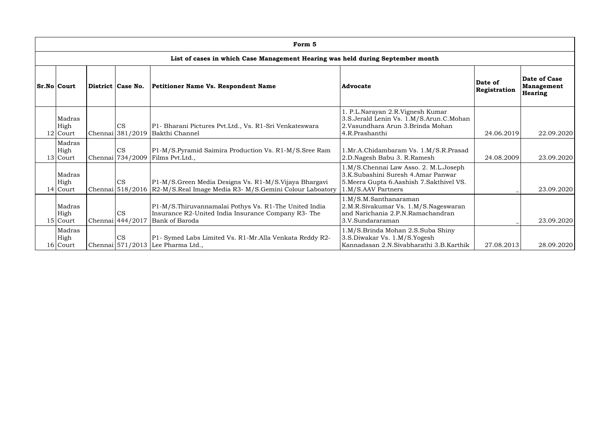| Form 5                                                                                                   |  |                               |                                                                                                                                        |                                                                                                                                                 |                         |                                                     |  |  |  |  |
|----------------------------------------------------------------------------------------------------------|--|-------------------------------|----------------------------------------------------------------------------------------------------------------------------------------|-------------------------------------------------------------------------------------------------------------------------------------------------|-------------------------|-----------------------------------------------------|--|--|--|--|
| List of cases in which Case Management Hearing was held during September month                           |  |                               |                                                                                                                                        |                                                                                                                                                 |                         |                                                     |  |  |  |  |
| <b>Sr.No Court</b><br>District Case No.<br><b>Petitioner Name Vs. Respondent Name</b><br><b>Advocate</b> |  |                               |                                                                                                                                        |                                                                                                                                                 | Date of<br>Registration | Date of Case<br><b>Management</b><br><b>Hearing</b> |  |  |  |  |
| Madras<br>High<br>$12$ Court                                                                             |  | CS                            | P1- Bharani Pictures Pvt.Ltd., Vs. R1-Sri Venkateswara<br>Chennai 381/2019 Bakthi Channel                                              | 1. P.L.Narayan 2.R.Vignesh Kumar<br>3.S.Jerald Lenin Vs. 1.M/S.Arun.C.Mohan<br>2. Vasundhara Arun 3. Brinda Mohan<br>4.R.Prashanthi             | 24.06.2019              | 22.09.2020                                          |  |  |  |  |
| Madras<br>High<br>13 Court                                                                               |  | <b>CS</b>                     | P1-M/S.Pyramid Saimira Production Vs. R1-M/S.Sree Ram<br>Chennai 734/2009 Films Pvt.Ltd.,                                              | 1.Mr.A.Chidambaram Vs. 1.M/S.R.Prasad<br>2.D.Nagesh Babu 3. R.Ramesh                                                                            | 24.08.2009              | 23.09.2020                                          |  |  |  |  |
| Madras<br>High<br>$14$ Court                                                                             |  | <b>CS</b>                     | P1-M/S.Green Media Designs Vs. R1-M/S.Vijaya Bhargavi<br>Chennai 518/2016   R2-M/S.Real Image Media R3- M/S.Gemini Colour Laboatory    | 1.M/S.Chennai Law Asso. 2. M.L.Joseph<br>3.K.Subashini Suresh 4.Amar Panwar<br>5. Meera Gupta 6. Aashish 7. Sakthivel VS.<br>1.M/S.AAV Partners |                         | 23.09.2020                                          |  |  |  |  |
| Madras<br>High<br>$15$ Court                                                                             |  | <b>CS</b><br>Chennai 444/2017 | P1-M/S. Thiruvannamalai Pothys Vs. R1-The United India<br>Insurance R2-United India Insurance Company R3- The<br><b>Bank of Baroda</b> | 1.M/S.M.Santhanaraman<br>2.M.R.Sivakumar Vs. 1.M/S.Nageswaran<br>and Narichania 2.P.N.Ramachandran<br>3.V.Sundararaman                          |                         | 23.09.2020                                          |  |  |  |  |
| Madras<br>High<br>16 Court                                                                               |  | <b>CS</b>                     | P1- Symed Labs Limited Vs. R1-Mr.Alla Venkata Reddy R2-<br>Chennai 571/2013 Lee Pharma Ltd.,                                           | 1.M/S.Brinda Mohan 2.S.Suba Shiny<br>3.S.Diwakar Vs. 1.M/S.Yogesh<br>Kannadasan 2.N.Sivabharathi 3.B.Karthik                                    | 27.08.2013              | 28.09.2020                                          |  |  |  |  |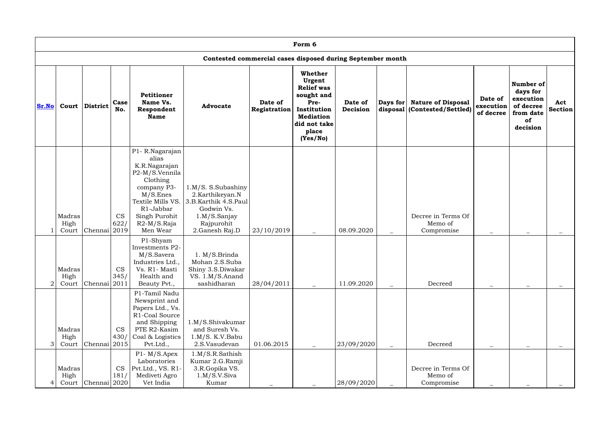|                | Form 6                  |                         |                   |                                                                                                                                                                                   |                                                                                                                              |                         |                                                                                                                                      |                     |                          |                                                           |                                   |                                                                                |                       |
|----------------|-------------------------|-------------------------|-------------------|-----------------------------------------------------------------------------------------------------------------------------------------------------------------------------------|------------------------------------------------------------------------------------------------------------------------------|-------------------------|--------------------------------------------------------------------------------------------------------------------------------------|---------------------|--------------------------|-----------------------------------------------------------|-----------------------------------|--------------------------------------------------------------------------------|-----------------------|
|                |                         |                         |                   |                                                                                                                                                                                   | Contested commercial cases disposed during September month                                                                   |                         |                                                                                                                                      |                     |                          |                                                           |                                   |                                                                                |                       |
| <b>Sr.No</b>   | Court                   | <b>District</b>         | Case<br>No.       | Petitioner<br>Name Vs.<br>Respondent<br><b>Name</b>                                                                                                                               | <b>Advocate</b>                                                                                                              | Date of<br>Registration | Whether<br>Urgent<br><b>Relief was</b><br>sought and<br>Pre-<br>Institution<br><b>Mediation</b><br>did not take<br>place<br>(Yes/No) | Date of<br>Decision | Days for                 | <b>Nature of Disposal</b><br>disposal (Contested/Settled) | Date of<br>execution<br>of decree | Number of<br>days for<br>execution<br>of decree<br>from date<br>of<br>decision | Act<br><b>Section</b> |
|                | Madras<br>High<br>Court | Chennai 2019            | <b>CS</b><br>622/ | P1-R.Nagarajan<br>alias<br>K.R.Nagarajan<br>P2-M/S.Vennila<br>Clothing<br>company P3-<br>M/S.Enes<br>Textile Mills VS.<br>R1-Jabbar<br>Singh Purohit<br>$R2-M/S.Raja$<br>Men Wear | 1.M/S. S.Subashiny<br>2.Karthikeyan.N<br>3.B.Karthik 4.S.Paul<br>Godwin Vs.<br>1.M/S.Sanjay<br>Rajpurohit<br>2. Ganesh Raj.D | 23/10/2019              |                                                                                                                                      | 08.09.2020          | $\overline{\phantom{0}}$ | Decree in Terms Of<br>Memo of<br>Compromise               | $\qquad \qquad -$                 | $\qquad \qquad -$                                                              |                       |
| $\overline{2}$ | Madras<br>High<br>Court | Chennai <sup>2011</sup> | <b>CS</b><br>345/ | P1-Shyam<br>Investments P2-<br>M/S.Savera<br>Industries Ltd.,<br>Vs. R1- Masti<br>Health and<br>Beauty Pvt.,                                                                      | 1. M/S.Brinda<br>Mohan 2.S.Suba<br>Shiny 3.S.Diwakar<br>VS. 1.M/S.Anand<br>sashidharan                                       | 28/04/2011              |                                                                                                                                      | 11.09.2020          |                          | Decreed                                                   |                                   |                                                                                |                       |
| 3              | Madras<br>High<br>Court | Chennai 2015            | <b>CS</b><br>430/ | P1-Tamil Nadu<br>Newsprint and<br>Papers Ltd., Vs.<br>R1-Coal Source<br>and Shipping<br>PTE R2-Kasim<br>Coal & Logistics<br>Pvt.Ltd.,                                             | 1.M/S.Shivakumar<br>and Suresh Vs.<br>1.M/S. K.V.Babu<br>2.S.Vasudevan                                                       | 01.06.2015              |                                                                                                                                      | 23/09/2020          | $\overline{\phantom{m}}$ | Decreed                                                   |                                   |                                                                                |                       |
|                | Madras<br>High<br>Court | Chennai 2020            | <b>CS</b><br>181/ | $P1 - M/S.$ Apex<br>Laboratories<br>Pvt.Ltd., VS. R1-<br>Mediveti Agro<br>Vet India                                                                                               | 1.M/S.R.Sathish<br>Kumar 2.G.Ramji<br>3.R.Gopika VS.<br>1.M/S.V.Siva<br>Kumar                                                |                         |                                                                                                                                      | 28/09/2020          |                          | Decree in Terms Of<br>Memo of<br>Compromise               |                                   |                                                                                |                       |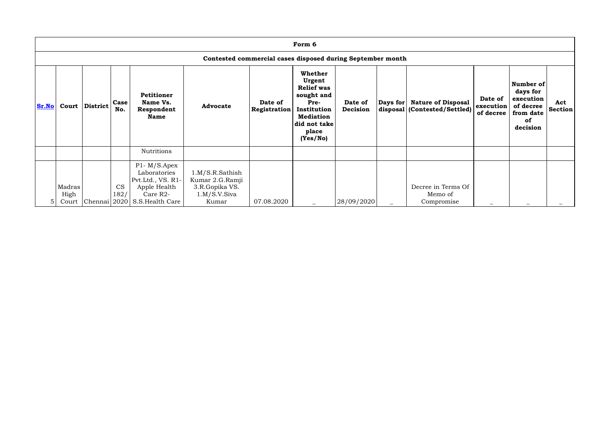|                | Form 6                                                     |                |                   |                                                                                                                                |                                                                               |                                |                                                                                                                                             |                     |          |                                                           |                                   |                                                                                       |                       |
|----------------|------------------------------------------------------------|----------------|-------------------|--------------------------------------------------------------------------------------------------------------------------------|-------------------------------------------------------------------------------|--------------------------------|---------------------------------------------------------------------------------------------------------------------------------------------|---------------------|----------|-----------------------------------------------------------|-----------------------------------|---------------------------------------------------------------------------------------|-----------------------|
|                | Contested commercial cases disposed during September month |                |                   |                                                                                                                                |                                                                               |                                |                                                                                                                                             |                     |          |                                                           |                                   |                                                                                       |                       |
| Sr.No          |                                                            | Court District | Case<br>No.       | Petitioner<br>Name Vs.<br>Respondent<br><b>Name</b>                                                                            | <b>Advocate</b>                                                               | Date of<br><b>Registration</b> | <b>Whether</b><br>Urgent<br><b>Relief was</b><br>sought and<br>Pre-<br>Institution<br><b>Mediation</b><br>did not take<br>place<br>(Yes/No) | Date of<br>Decision | Days for | <b>Nature of Disposal</b><br>disposal (Contested/Settled) | Date of<br>execution<br>of decree | Number of<br>days for<br>execution<br>of decree<br>from date<br><b>of</b><br>decision | Act<br><b>Section</b> |
|                |                                                            |                |                   | <b>Nutritions</b>                                                                                                              |                                                                               |                                |                                                                                                                                             |                     |          |                                                           |                                   |                                                                                       |                       |
| 5 <sup>1</sup> | Madras<br>High<br>Court                                    |                | <b>CS</b><br>182/ | $P1 - M/S.Apex$<br>Laboratories<br>Pvt.Ltd., VS. R1-<br>Apple Health<br>Care R <sub>2</sub> -<br>Chennai 2020 S.S. Health Care | 1.M/S.R.Sathish<br>Kumar 2.G.Ramji<br>3.R.Gopika VS.<br>1.M/S.V.Siva<br>Kumar | 07.08.2020                     |                                                                                                                                             | 28/09/2020          |          | Decree in Terms Of<br>Memo of<br>Compromise               |                                   |                                                                                       |                       |